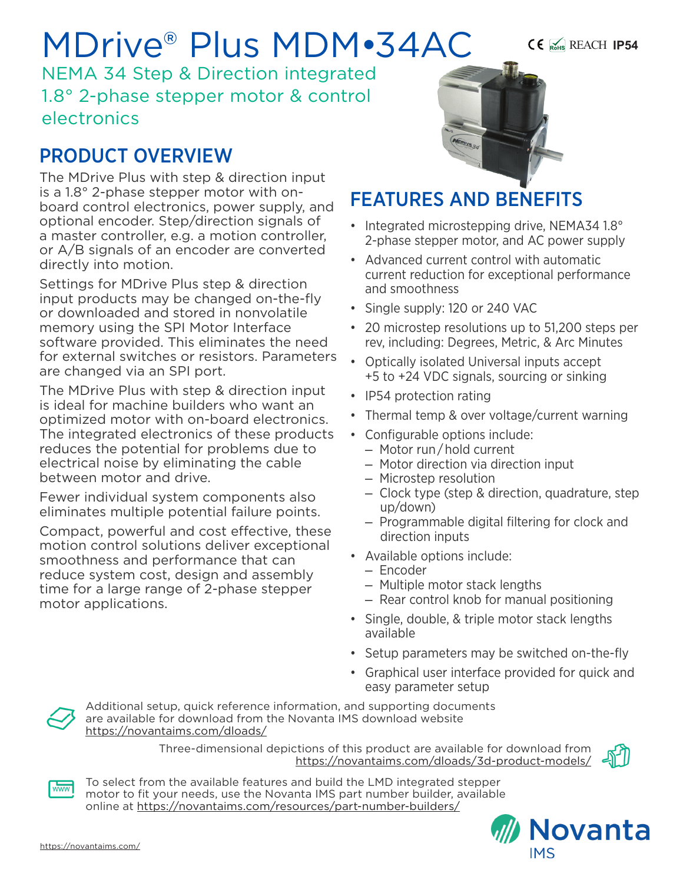# MDrive® Plus MDM•34AC

NEMA 34 Step & Direction integrated 1.8° 2-phase stepper motor & control electronics

# PRODUCT OVERVIEW

The MDrive Plus with step & direction input is a 1.8° 2-phase stepper motor with onboard control electronics, power supply, and optional encoder. Step/direction signals of a master controller, e.g. a motion controller, or A/B signals of an encoder are converted directly into motion.

Settings for MDrive Plus step & direction input products may be changed on-the-fly or downloaded and stored in nonvolatile memory using the SPI Motor Interface software provided. This eliminates the need for external switches or resistors. Parameters are changed via an SPI port.

The MDrive Plus with step & direction input is ideal for machine builders who want an optimized motor with on-board electronics. The integrated electronics of these products reduces the potential for problems due to electrical noise by eliminating the cable between motor and drive.

Fewer individual system components also eliminates multiple potential failure points.

Compact, powerful and cost effective, these motion control solutions deliver exceptional smoothness and performance that can reduce system cost, design and assembly time for a large range of 2-phase stepper motor applications.



REACH **IP54**

# FEATURES AND BENEFITS

- Integrated microstepping drive, NEMA34 1.8° 2-phase stepper motor, and AC power supply
- Advanced current control with automatic current reduction for exceptional performance and smoothness
- Single supply: 120 or 240 VAC
- 20 microstep resolutions up to 51,200 steps per rev, including: Degrees, Metric, & Arc Minutes
- Optically isolated Universal inputs accept +5 to +24 VDC signals, sourcing or sinking
- IP54 protection rating
- Thermal temp & over voltage/current warning
- Configurable options include:
	- Motor run / hold current
	- Motor direction via direction input
	- Microstep resolution
	- Clock type (step & direction, quadrature, step up/down)
	- Programmable digital filtering for clock and direction inputs
- Available options include:
	- Encoder
	- Multiple motor stack lengths
	- Rear control knob for manual positioning
- Single, double, & triple motor stack lengths available
- Setup parameters may be switched on-the-fly
- Graphical user interface provided for quick and easy parameter setup



Additional setup, quick reference information, and supporting documents are available for download from the Novanta IMS download website https://novantaims.com/dloads/

> Three-dimensional depictions of this product are available for download from <https://novantaims.com/dloads/3d-product-models/>





To select from the available features and build the LMD integrated stepper motor to fit your needs, use the Novanta IMS part number builder, available online at <https://novantaims.com/resources/part-number-builders/>